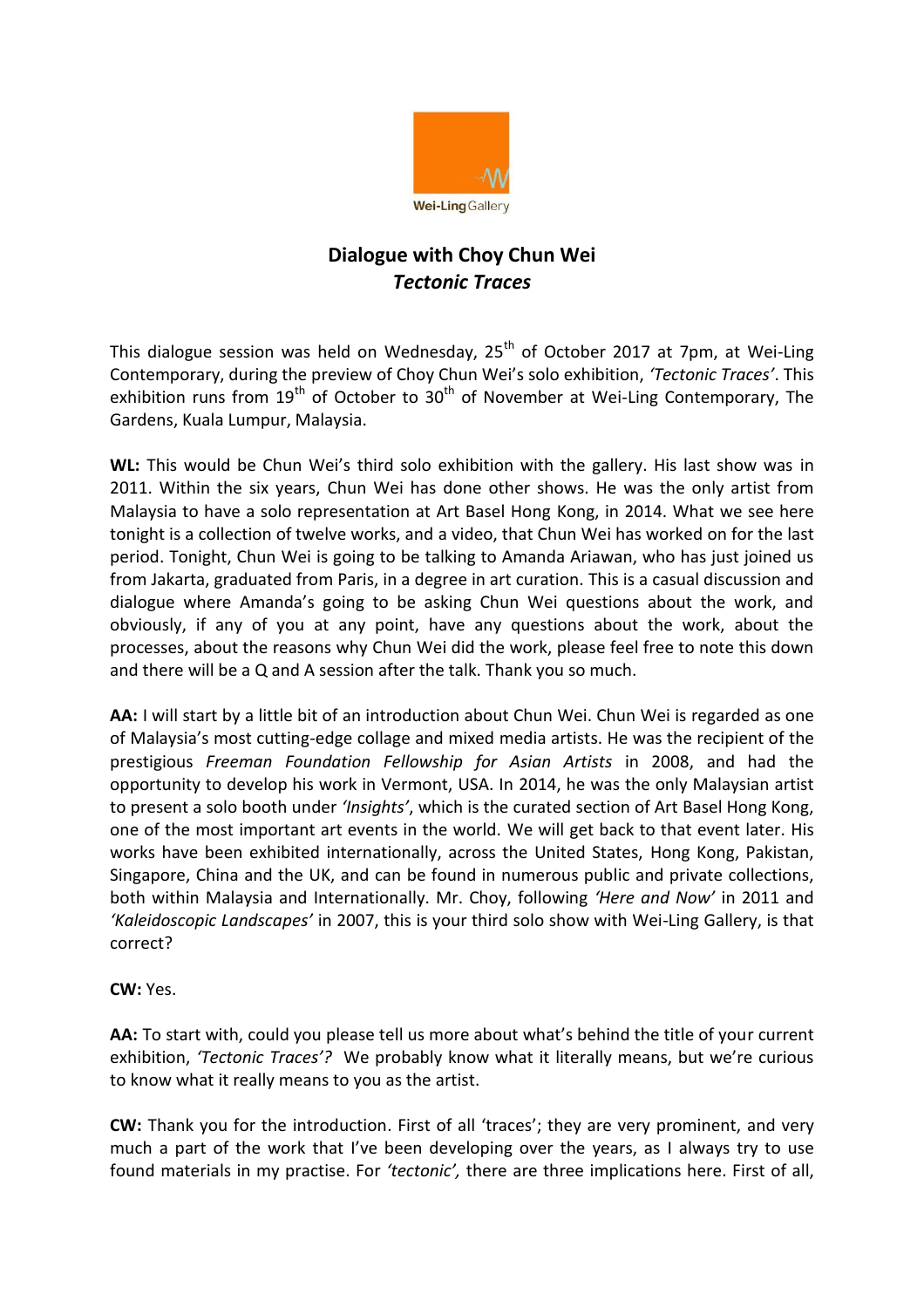

## **Dialogue with Choy Chun Wei** *Tectonic Traces*

This dialogue session was held on Wednesday,  $25<sup>th</sup>$  of October 2017 at 7pm, at Wei-Ling Contemporary, during the preview of Choy Chun Wei's solo exhibition, *'Tectonic Traces'*. This exhibition runs from  $19^{th}$  of October to  $30^{th}$  of November at Wei-Ling Contemporary, The Gardens, Kuala Lumpur, Malaysia.

**WL:** This would be Chun Wei's third solo exhibition with the gallery. His last show was in 2011. Within the six years, Chun Wei has done other shows. He was the only artist from Malaysia to have a solo representation at Art Basel Hong Kong, in 2014. What we see here tonight is a collection of twelve works, and a video, that Chun Wei has worked on for the last period. Tonight, Chun Wei is going to be talking to Amanda Ariawan, who has just joined us from Jakarta, graduated from Paris, in a degree in art curation. This is a casual discussion and dialogue where Amanda's going to be asking Chun Wei questions about the work, and obviously, if any of you at any point, have any questions about the work, about the processes, about the reasons why Chun Wei did the work, please feel free to note this down and there will be a Q and A session after the talk. Thank you so much.

AA: I will start by a little bit of an introduction about Chun Wei. Chun Wei is regarded as one of Malaysia's most cutting-edge collage and mixed media artists. He was the recipient of the prestigious *Freeman Foundation Fellowship for Asian Artists* in 2008, and had the opportunity to develop his work in Vermont, USA. In 2014, he was the only Malaysian artist to present a solo booth under *'Insights'*, which is the curated section of Art Basel Hong Kong, one of the most important art events in the world. We will get back to that event later. His works have been exhibited internationally, across the United States, Hong Kong, Pakistan, Singapore, China and the UK, and can be found in numerous public and private collections, both within Malaysia and Internationally. Mr. Choy, following *'Here and Now'* in 2011 and *'Kaleidoscopic Landscapes'* in 2007, this is your third solo show with Wei-Ling Gallery, is that correct?

**CW:** Yes.

**AA:** To start with, could you please tell us more about what's behind the title of your current exhibition, *'Tectonic Traces'?* We probably know what it literally means, but we're curious to know what it really means to you as the artist.

**CW:** Thank you for the introduction. First of all 'traces'; they are very prominent, and very much a part of the work that I've been developing over the years, as I always try to use found materials in my practise. For *'tectonic',* there are three implications here. First of all,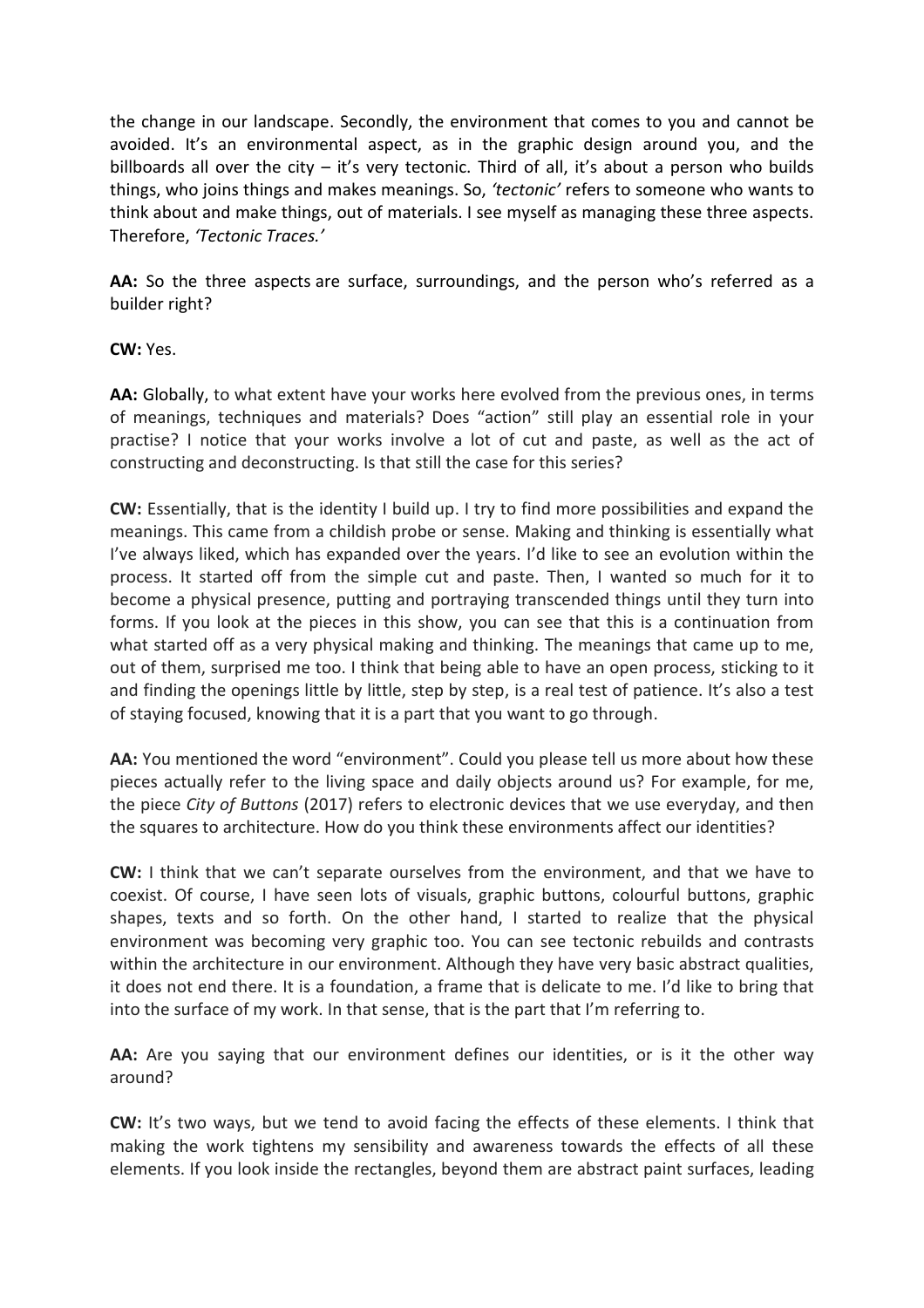the change in our landscape. Secondly, the environment that comes to you and cannot be avoided. It's an environmental aspect, as in the graphic design around you, and the billboards all over the city  $-$  it's very tectonic. Third of all, it's about a person who builds things, who joins things and makes meanings. So, *'tectonic'* refers to someone who wants to think about and make things, out of materials. I see myself as managing these three aspects. Therefore, *'Tectonic Traces.'*

**AA:** So the three aspects are surface, surroundings, and the person who's referred as a builder right?

**CW:** Yes.

**AA:** Globally, to what extent have your works here evolved from the previous ones, in terms of meanings, techniques and materials? Does "action" still play an essential role in your practise? I notice that your works involve a lot of cut and paste, as well as the act of constructing and deconstructing. Is that still the case for this series?

**CW:** Essentially, that is the identity I build up. I try to find more possibilities and expand the meanings. This came from a childish probe or sense. Making and thinking is essentially what I've always liked, which has expanded over the years. I'd like to see an evolution within the process. It started off from the simple cut and paste. Then, I wanted so much for it to become a physical presence, putting and portraying transcended things until they turn into forms. If you look at the pieces in this show, you can see that this is a continuation from what started off as a very physical making and thinking. The meanings that came up to me, out of them, surprised me too. I think that being able to have an open process, sticking to it and finding the openings little by little, step by step, is a real test of patience. It's also a test of staying focused, knowing that it is a part that you want to go through.

AA: You mentioned the word "environment". Could you please tell us more about how these pieces actually refer to the living space and daily objects around us? For example, for me, the piece *City of Buttons* (2017) refers to electronic devices that we use everyday, and then the squares to architecture. How do you think these environments affect our identities?

**CW:** I think that we can't separate ourselves from the environment, and that we have to coexist. Of course, I have seen lots of visuals, graphic buttons, colourful buttons, graphic shapes, texts and so forth. On the other hand, I started to realize that the physical environment was becoming very graphic too. You can see tectonic rebuilds and contrasts within the architecture in our environment. Although they have very basic abstract qualities, it does not end there. It is a foundation, a frame that is delicate to me. I'd like to bring that into the surface of my work. In that sense, that is the part that I'm referring to.

**AA:** Are you saying that our environment defines our identities, or is it the other way around?

**CW:** It's two ways, but we tend to avoid facing the effects of these elements. I think that making the work tightens my sensibility and awareness towards the effects of all these elements. If you look inside the rectangles, beyond them are abstract paint surfaces, leading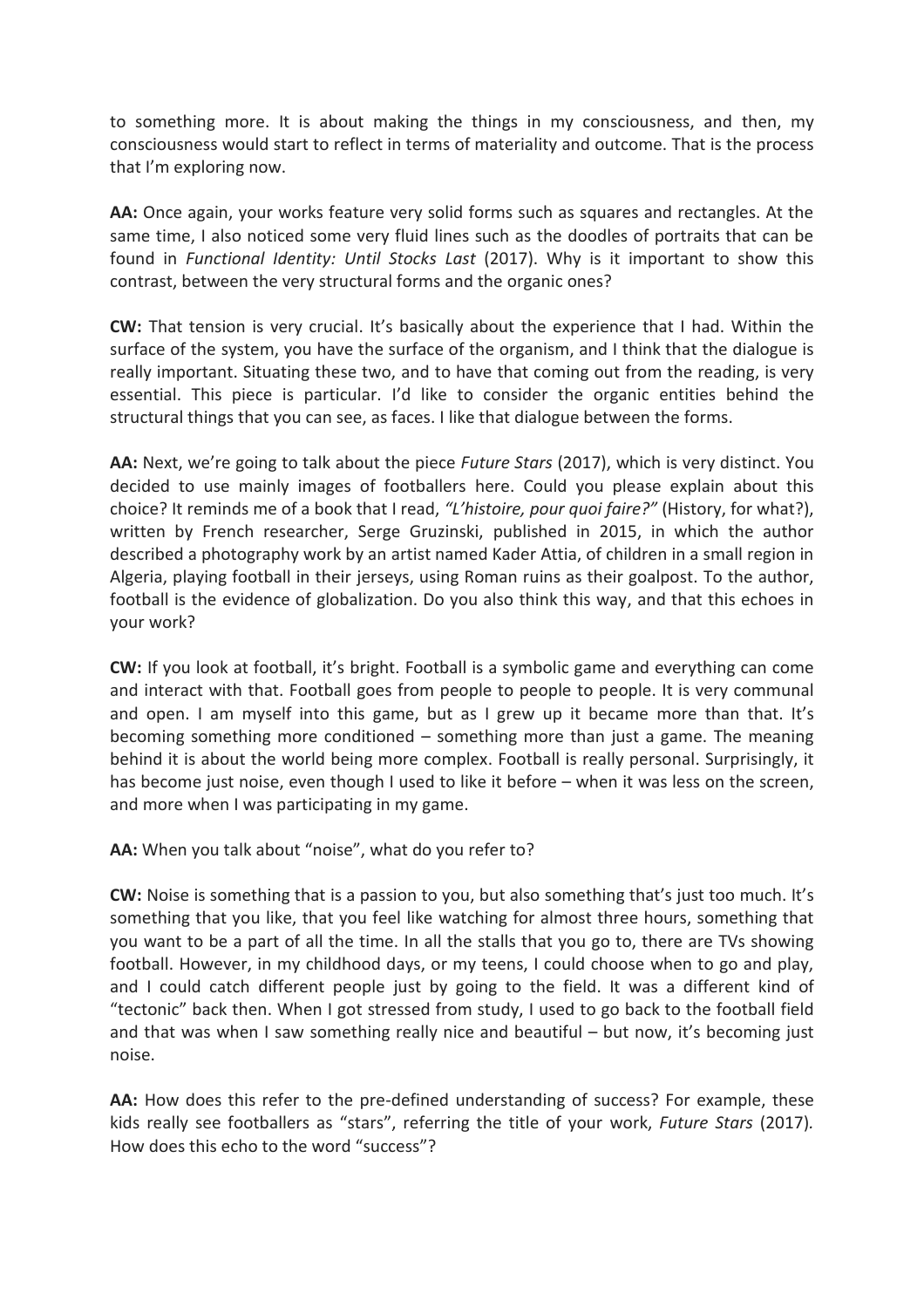to something more. It is about making the things in my consciousness, and then, my consciousness would start to reflect in terms of materiality and outcome. That is the process that I'm exploring now.

**AA:** Once again, your works feature very solid forms such as squares and rectangles. At the same time, I also noticed some very fluid lines such as the doodles of portraits that can be found in *Functional Identity: Until Stocks Last* (2017). Why is it important to show this contrast, between the very structural forms and the organic ones?

**CW:** That tension is very crucial. It's basically about the experience that I had. Within the surface of the system, you have the surface of the organism, and I think that the dialogue is really important. Situating these two, and to have that coming out from the reading, is very essential. This piece is particular. I'd like to consider the organic entities behind the structural things that you can see, as faces. I like that dialogue between the forms.

**AA:** Next, we're going to talk about the piece *Future Stars* (2017), which is very distinct. You decided to use mainly images of footballers here. Could you please explain about this choice? It reminds me of a book that I read, *"L'histoire, pour quoi faire?"* (History, for what?), written by French researcher, Serge Gruzinski, published in 2015, in which the author described a photography work by an artist named Kader Attia, of children in a small region in Algeria, playing football in their jerseys, using Roman ruins as their goalpost. To the author, football is the evidence of globalization. Do you also think this way, and that this echoes in your work?

**CW:** If you look at football, it's bright. Football is a symbolic game and everything can come and interact with that. Football goes from people to people to people. It is very communal and open. I am myself into this game, but as I grew up it became more than that. It's becoming something more conditioned – something more than just a game. The meaning behind it is about the world being more complex. Football is really personal. Surprisingly, it has become just noise, even though I used to like it before – when it was less on the screen, and more when I was participating in my game.

**AA:** When you talk about "noise", what do you refer to?

**CW:** Noise is something that is a passion to you, but also something that's just too much. It's something that you like, that you feel like watching for almost three hours, something that you want to be a part of all the time. In all the stalls that you go to, there are TVs showing football. However, in my childhood days, or my teens, I could choose when to go and play, and I could catch different people just by going to the field. It was a different kind of "tectonic" back then. When I got stressed from study, I used to go back to the football field and that was when I saw something really nice and beautiful – but now, it's becoming just noise.

**AA:** How does this refer to the pre-defined understanding of success? For example, these kids really see footballers as "stars", referring the title of your work, *Future Stars* (2017)*.*  How does this echo to the word "success"?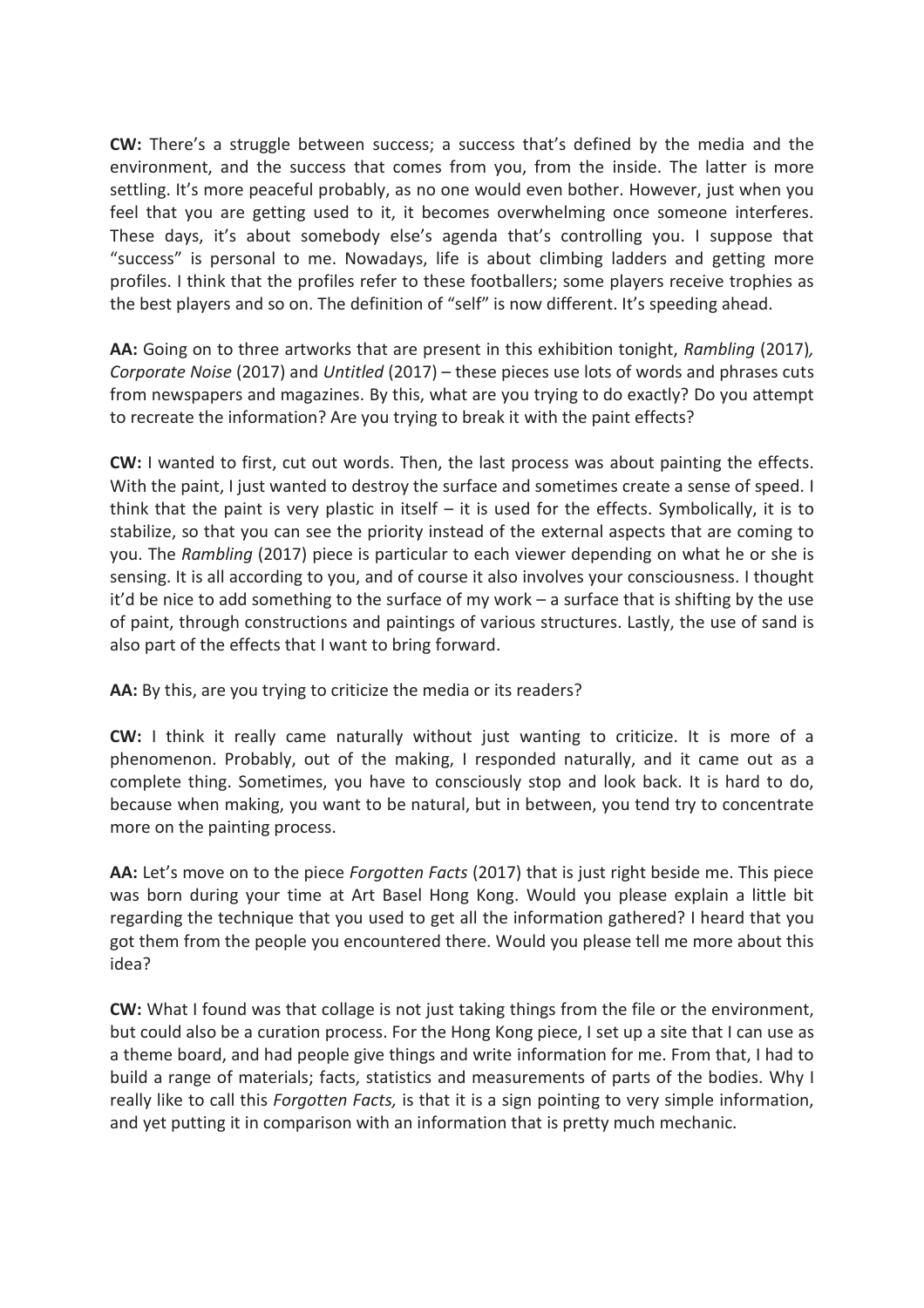**CW:** There's a struggle between success; a success that's defined by the media and the environment, and the success that comes from you, from the inside. The latter is more settling. It's more peaceful probably, as no one would even bother. However, just when you feel that you are getting used to it, it becomes overwhelming once someone interferes. These days, it's about somebody else's agenda that's controlling you. I suppose that "success" is personal to me. Nowadays, life is about climbing ladders and getting more profiles. I think that the profiles refer to these footballers; some players receive trophies as the best players and so on. The definition of "self" is now different. It's speeding ahead.

**AA:** Going on to three artworks that are present in this exhibition tonight, *Rambling* (2017)*, Corporate Noise* (2017) and *Untitled* (2017) – these pieces use lots of words and phrases cuts from newspapers and magazines. By this, what are you trying to do exactly? Do you attempt to recreate the information? Are you trying to break it with the paint effects?

**CW:** I wanted to first, cut out words. Then, the last process was about painting the effects. With the paint, I just wanted to destroy the surface and sometimes create a sense of speed. I think that the paint is very plastic in itself  $-$  it is used for the effects. Symbolically, it is to stabilize, so that you can see the priority instead of the external aspects that are coming to you. The *Rambling* (2017) piece is particular to each viewer depending on what he or she is sensing. It is all according to you, and of course it also involves your consciousness. I thought it'd be nice to add something to the surface of my work – a surface that is shifting by the use of paint, through constructions and paintings of various structures. Lastly, the use of sand is also part of the effects that I want to bring forward.

**AA:** By this, are you trying to criticize the media or its readers?

**CW:** I think it really came naturally without just wanting to criticize. It is more of a phenomenon. Probably, out of the making, I responded naturally, and it came out as a complete thing. Sometimes, you have to consciously stop and look back. It is hard to do, because when making, you want to be natural, but in between, you tend try to concentrate more on the painting process.

**AA:** Let's move on to the piece *Forgotten Facts* (2017) that is just right beside me. This piece was born during your time at Art Basel Hong Kong. Would you please explain a little bit regarding the technique that you used to get all the information gathered? I heard that you got them from the people you encountered there. Would you please tell me more about this idea?

**CW:** What I found was that collage is not just taking things from the file or the environment, but could also be a curation process. For the Hong Kong piece, I set up a site that I can use as a theme board, and had people give things and write information for me. From that, I had to build a range of materials; facts, statistics and measurements of parts of the bodies. Why I really like to call this *Forgotten Facts,* is that it is a sign pointing to very simple information, and yet putting it in comparison with an information that is pretty much mechanic.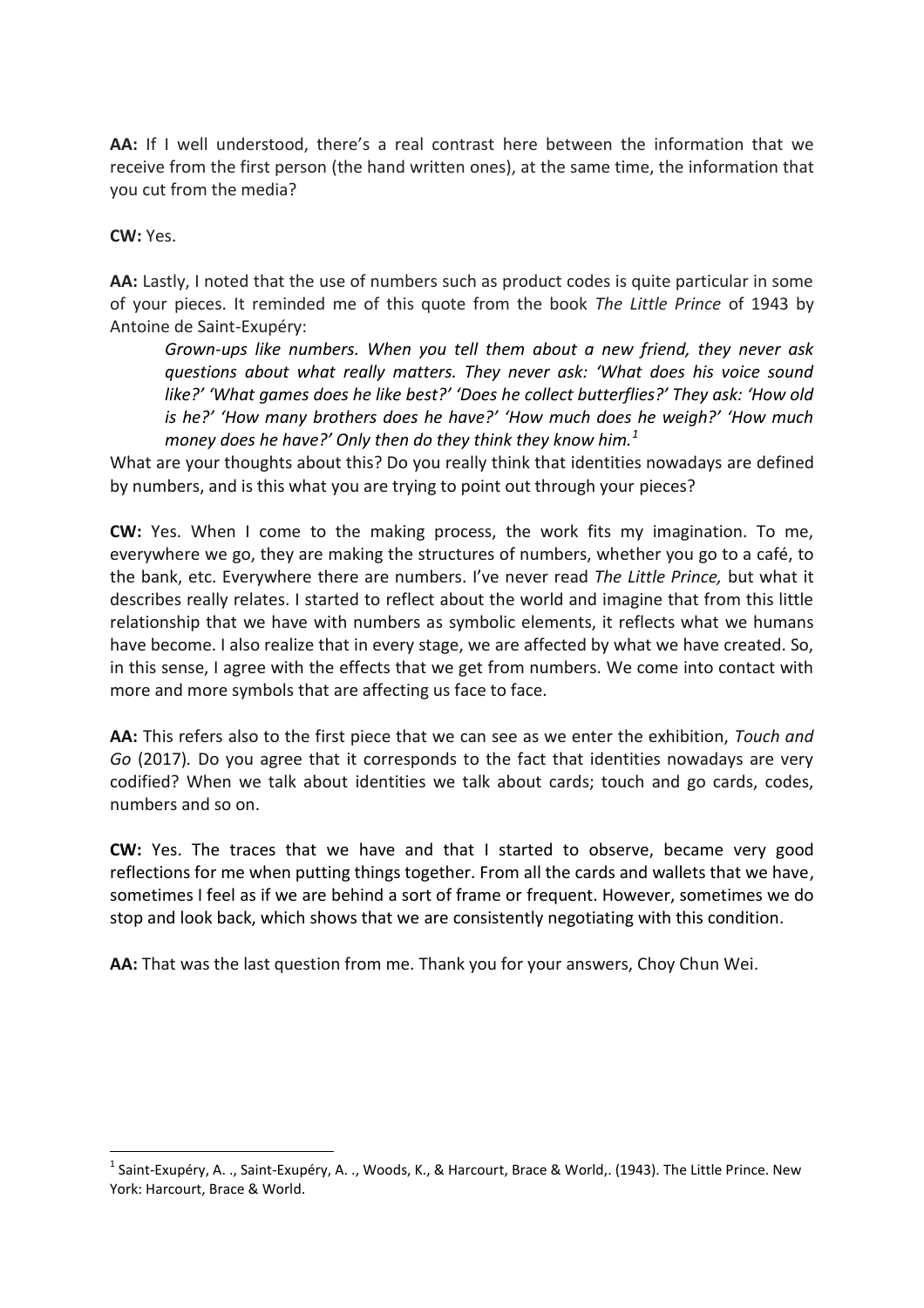AA: If I well understood, there's a real contrast here between the information that we receive from the first person (the hand written ones), at the same time, the information that you cut from the media?

**CW:** Yes.

 $\overline{a}$ 

**AA:** Lastly, I noted that the use of numbers such as product codes is quite particular in some of your pieces. It reminded me of this quote from the book *The Little Prince* of 1943 by Antoine de Saint-Exupéry:

*Grown-ups like numbers. When you tell them about a new friend, they never ask questions about what really matters. They never ask: 'What does his voice sound like?' 'What games does he like best?' 'Does he collect butterflies?' They ask: 'How old is he?' 'How many brothers does he have?' 'How much does he weigh?' 'How much money does he have?' Only then do they think they know him.<sup>1</sup>*

What are your thoughts about this? Do you really think that identities nowadays are defined by numbers, and is this what you are trying to point out through your pieces?

**CW:** Yes. When I come to the making process, the work fits my imagination. To me, everywhere we go, they are making the structures of numbers, whether you go to a café, to the bank, etc. Everywhere there are numbers. I've never read *The Little Prince,* but what it describes really relates. I started to reflect about the world and imagine that from this little relationship that we have with numbers as symbolic elements, it reflects what we humans have become. I also realize that in every stage, we are affected by what we have created. So, in this sense, I agree with the effects that we get from numbers. We come into contact with more and more symbols that are affecting us face to face.

**AA:** This refers also to the first piece that we can see as we enter the exhibition, *Touch and Go* (2017)*.* Do you agree that it corresponds to the fact that identities nowadays are very codified? When we talk about identities we talk about cards; touch and go cards, codes, numbers and so on.

**CW:** Yes. The traces that we have and that I started to observe, became very good reflections for me when putting things together. From all the cards and wallets that we have, sometimes I feel as if we are behind a sort of frame or frequent. However, sometimes we do stop and look back, which shows that we are consistently negotiating with this condition.

**AA:** That was the last question from me. Thank you for your answers, Choy Chun Wei.

<sup>&</sup>lt;sup>1</sup> Saint-Exupéry, A. ., Saint-Exupéry, A. ., Woods, K., & Harcourt, Brace & World,. (1943). The Little Prince. New York: Harcourt, Brace & World.